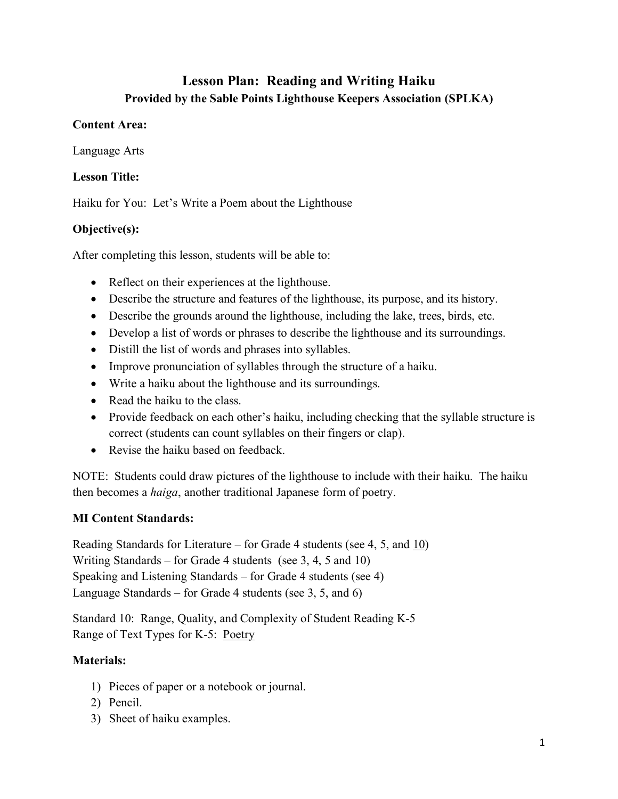# **Lesson Plan: Reading and Writing Haiku Provided by the Sable Points Lighthouse Keepers Association (SPLKA)**

## **Content Area:**

Language Arts

## **Lesson Title:**

Haiku for You: Let's Write a Poem about the Lighthouse

## **Objective(s):**

After completing this lesson, students will be able to:

- Reflect on their experiences at the lighthouse.
- Describe the structure and features of the lighthouse, its purpose, and its history.
- Describe the grounds around the lighthouse, including the lake, trees, birds, etc.
- Develop a list of words or phrases to describe the lighthouse and its surroundings.
- Distill the list of words and phrases into syllables.
- Improve pronunciation of syllables through the structure of a haiku.
- Write a haiku about the lighthouse and its surroundings.
- Read the haiku to the class.
- Provide feedback on each other's haiku, including checking that the syllable structure is correct (students can count syllables on their fingers or clap).
- Revise the haiku based on feedback.

NOTE: Students could draw pictures of the lighthouse to include with their haiku. The haiku then becomes a *haiga*, another traditional Japanese form of poetry.

## **MI Content Standards:**

Reading Standards for Literature – for Grade 4 students (see 4, 5, and 10) Writing Standards – for Grade 4 students (see 3, 4, 5 and 10) Speaking and Listening Standards – for Grade 4 students (see 4) Language Standards – for Grade 4 students (see 3, 5, and 6)

Standard 10: Range, Quality, and Complexity of Student Reading K-5 Range of Text Types for K-5: Poetry

## **Materials:**

- 1) Pieces of paper or a notebook or journal.
- 2) Pencil.
- 3) Sheet of haiku examples.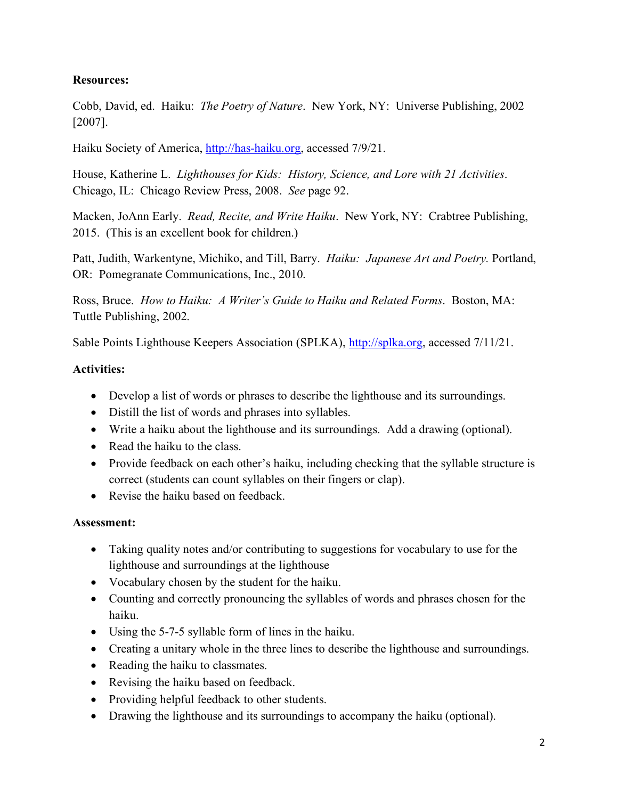## **Resources:**

Cobb, David, ed. Haiku: *The Poetry of Nature*. New York, NY: Universe Publishing, 2002 [2007].

Haiku Society of America, [http://has-haiku.org,](http://has-haiku.org/) accessed 7/9/21.

House, Katherine L. *Lighthouses for Kids: History, Science, and Lore with 21 Activities*. Chicago, IL: Chicago Review Press, 2008. *See* page 92.

Macken, JoAnn Early. *Read, Recite, and Write Haiku*. New York, NY: Crabtree Publishing, 2015. (This is an excellent book for children.)

Patt, Judith, Warkentyne, Michiko, and Till, Barry. *Haiku: Japanese Art and Poetry.* Portland, OR: Pomegranate Communications, Inc., 2010.

Ross, Bruce. *How to Haiku: A Writer's Guide to Haiku and Related Forms*. Boston, MA: Tuttle Publishing, 2002.

Sable Points Lighthouse Keepers Association (SPLKA), [http://splka.org,](http://splka.org/) accessed 7/11/21.

## **Activities:**

- Develop a list of words or phrases to describe the lighthouse and its surroundings.
- Distill the list of words and phrases into syllables.
- Write a haiku about the lighthouse and its surroundings. Add a drawing (optional).
- Read the haiku to the class.
- Provide feedback on each other's haiku, including checking that the syllable structure is correct (students can count syllables on their fingers or clap).
- Revise the haiku based on feedback.

## **Assessment:**

- Taking quality notes and/or contributing to suggestions for vocabulary to use for the lighthouse and surroundings at the lighthouse
- Vocabulary chosen by the student for the haiku.
- Counting and correctly pronouncing the syllables of words and phrases chosen for the haiku.
- Using the 5-7-5 syllable form of lines in the haiku.
- Creating a unitary whole in the three lines to describe the lighthouse and surroundings.
- Reading the haiku to classmates.
- Revising the haiku based on feedback.
- Providing helpful feedback to other students.
- Drawing the lighthouse and its surroundings to accompany the haiku (optional).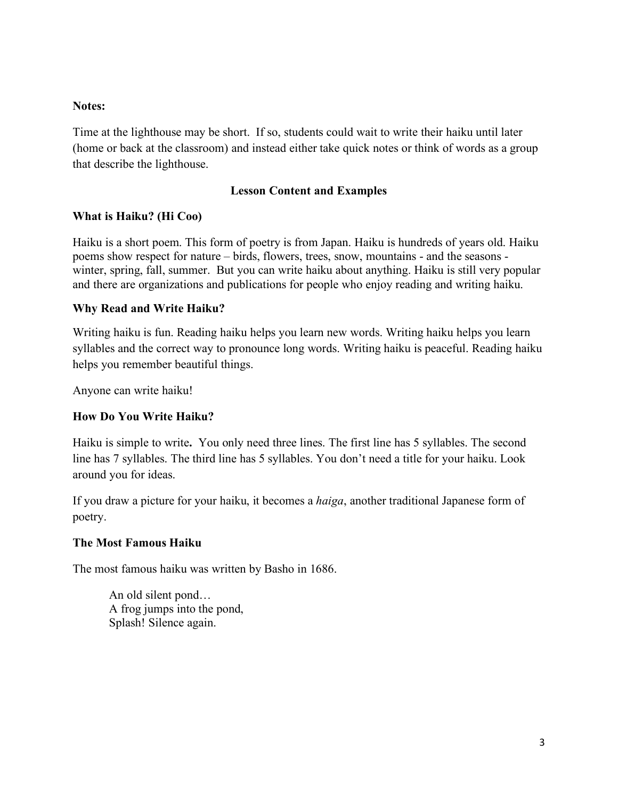#### **Notes:**

Time at the lighthouse may be short. If so, students could wait to write their haiku until later (home or back at the classroom) and instead either take quick notes or think of words as a group that describe the lighthouse.

#### **Lesson Content and Examples**

## **What is Haiku? (Hi Coo)**

Haiku is a short poem. This form of poetry is from Japan. Haiku is hundreds of years old. Haiku poems show respect for nature – birds, flowers, trees, snow, mountains - and the seasons winter, spring, fall, summer. But you can write haiku about anything. Haiku is still very popular and there are organizations and publications for people who enjoy reading and writing haiku.

#### **Why Read and Write Haiku?**

Writing haiku is fun. Reading haiku helps you learn new words. Writing haiku helps you learn syllables and the correct way to pronounce long words. Writing haiku is peaceful. Reading haiku helps you remember beautiful things.

Anyone can write haiku!

## **How Do You Write Haiku?**

Haiku is simple to write**.** You only need three lines. The first line has 5 syllables. The second line has 7 syllables. The third line has 5 syllables. You don't need a title for your haiku. Look around you for ideas.

If you draw a picture for your haiku, it becomes a *haiga*, another traditional Japanese form of poetry.

#### **The Most Famous Haiku**

The most famous haiku was written by Basho in 1686.

An old silent pond… A frog jumps into the pond, Splash! Silence again.